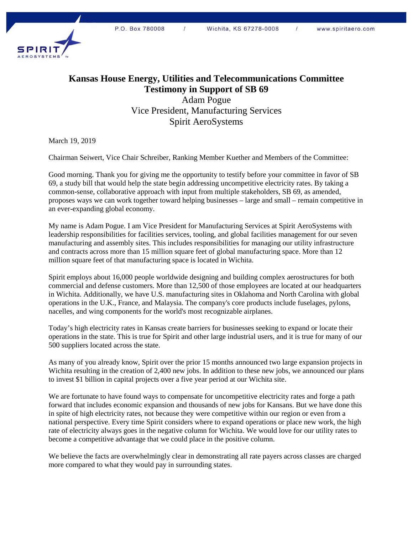

## **Kansas House Energy, Utilities and Telecommunications Committee Testimony in Support of SB 69**

Adam Pogue Vice President, Manufacturing Services Spirit AeroSystems

March 19, 2019

Chairman Seiwert, Vice Chair Schreiber, Ranking Member Kuether and Members of the Committee:

Good morning. Thank you for giving me the opportunity to testify before your committee in favor of SB 69, a study bill that would help the state begin addressing uncompetitive electricity rates. By taking a common-sense, collaborative approach with input from multiple stakeholders, SB 69, as amended, proposes ways we can work together toward helping businesses – large and small – remain competitive in an ever-expanding global economy.

My name is Adam Pogue. I am Vice President for Manufacturing Services at Spirit AeroSystems with leadership responsibilities for facilities services, tooling, and global facilities management for our seven manufacturing and assembly sites. This includes responsibilities for managing our utility infrastructure and contracts across more than 15 million square feet of global manufacturing space. More than 12 million square feet of that manufacturing space is located in Wichita.

Spirit employs about 16,000 people worldwide designing and building complex aerostructures for both commercial and defense customers. More than 12,500 of those employees are located at our headquarters in Wichita. Additionally, we have U.S. manufacturing sites in Oklahoma and North Carolina with global operations in the U.K., France, and Malaysia. The company's core products include fuselages, pylons, nacelles, and wing components for the world's most recognizable airplanes.

Today's high electricity rates in Kansas create barriers for businesses seeking to expand or locate their operations in the state. This is true for Spirit and other large industrial users, and it is true for many of our 500 suppliers located across the state.

As many of you already know, Spirit over the prior 15 months announced two large expansion projects in Wichita resulting in the creation of 2,400 new jobs. In addition to these new jobs, we announced our plans to invest \$1 billion in capital projects over a five year period at our Wichita site.

We are fortunate to have found ways to compensate for uncompetitive electricity rates and forge a path forward that includes economic expansion and thousands of new jobs for Kansans. But we have done this in spite of high electricity rates, not because they were competitive within our region or even from a national perspective. Every time Spirit considers where to expand operations or place new work, the high rate of electricity always goes in the negative column for Wichita. We would love for our utility rates to become a competitive advantage that we could place in the positive column.

We believe the facts are overwhelmingly clear in demonstrating all rate payers across classes are charged more compared to what they would pay in surrounding states.